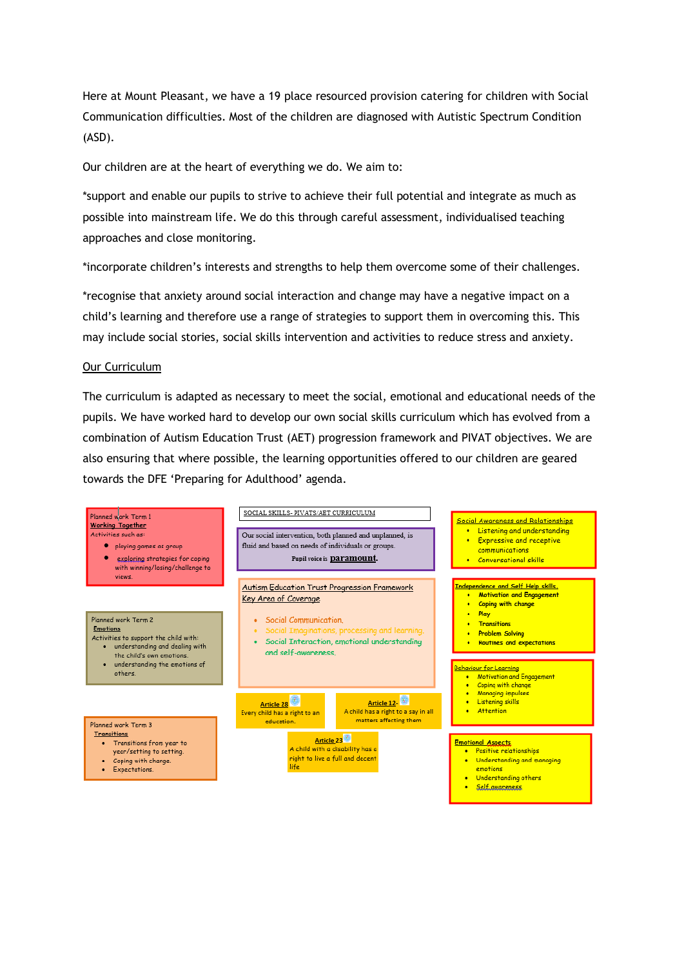Here at Mount Pleasant, we have a 19 place resourced provision catering for children with Social Communication difficulties. Most of the children are diagnosed with Autistic Spectrum Condition (ASD).

Our children are at the heart of everything we do. We aim to:

\*support and enable our pupils to strive to achieve their full potential and integrate as much as possible into mainstream life. We do this through careful assessment, individualised teaching approaches and close monitoring.

\*incorporate children's interests and strengths to help them overcome some of their challenges.

\*recognise that anxiety around social interaction and change may have a negative impact on a child's learning and therefore use a range of strategies to support them in overcoming this. This may include social stories, social skills intervention and activities to reduce stress and anxiety.

#### Our Curriculum

The curriculum is adapted as necessary to meet the social, emotional and educational needs of the pupils. We have worked hard to develop our own social skills curriculum which has evolved from a combination of Autism Education Trust (AET) progression framework and PIVAT objectives. We are also ensuring that where possible, the learning opportunities offered to our children are geared towards the DFE 'Preparing for Adulthood' agenda.

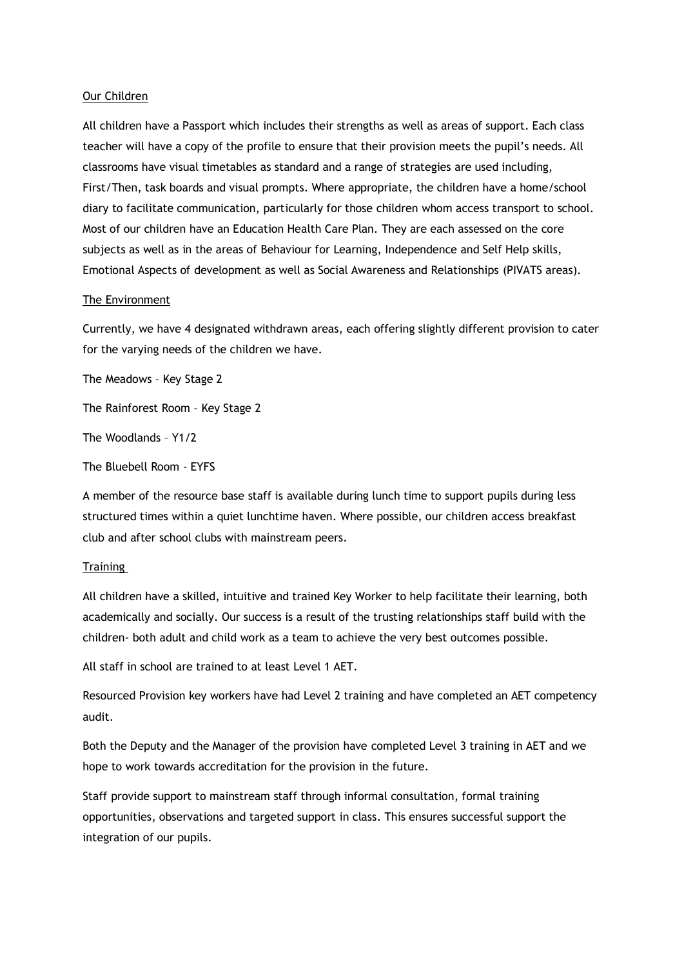### Our Children

All children have a Passport which includes their strengths as well as areas of support. Each class teacher will have a copy of the profile to ensure that their provision meets the pupil's needs. All classrooms have visual timetables as standard and a range of strategies are used including, First/Then, task boards and visual prompts. Where appropriate, the children have a home/school diary to facilitate communication, particularly for those children whom access transport to school. Most of our children have an Education Health Care Plan. They are each assessed on the core subjects as well as in the areas of Behaviour for Learning, Independence and Self Help skills, Emotional Aspects of development as well as Social Awareness and Relationships (PIVATS areas).

#### The Environment

Currently, we have 4 designated withdrawn areas, each offering slightly different provision to cater for the varying needs of the children we have.

The Meadows – Key Stage 2

The Rainforest Room – Key Stage 2

The Woodlands – Y1/2

The Bluebell Room - EYFS

A member of the resource base staff is available during lunch time to support pupils during less structured times within a quiet lunchtime haven. Where possible, our children access breakfast club and after school clubs with mainstream peers.

#### **Training**

All children have a skilled, intuitive and trained Key Worker to help facilitate their learning, both academically and socially. Our success is a result of the trusting relationships staff build with the children- both adult and child work as a team to achieve the very best outcomes possible.

All staff in school are trained to at least Level 1 AET.

Resourced Provision key workers have had Level 2 training and have completed an AET competency audit.

Both the Deputy and the Manager of the provision have completed Level 3 training in AET and we hope to work towards accreditation for the provision in the future.

Staff provide support to mainstream staff through informal consultation, formal training opportunities, observations and targeted support in class. This ensures successful support the integration of our pupils.